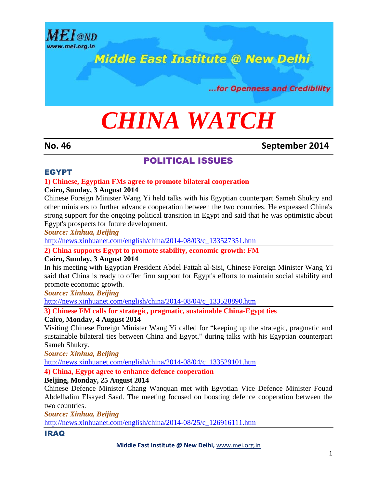

## **Middle East Institute @ New Delhi**

...for Openness and Credibility

# *CHINA WATCH*

**No. 46 September 2014**

#### POLITICAL ISSUES

#### EGYPT

#### **1) Chinese, Egyptian FMs agree to promote bilateral cooperation**

#### **Cairo, Sunday, 3 August 2014**

Chinese Foreign Minister Wang Yi held talks with his Egyptian counterpart Sameh Shukry and other ministers to further advance cooperation between the two countries. He expressed China's strong support for the ongoing political transition in Egypt and said that he was optimistic about Egypt's prospects for future development.

*Source: Xinhua, Beijing*

[http://news.xinhuanet.com/english/china/2014-08/03/c\\_133527351.htm](http://news.xinhuanet.com/english/china/2014-08/03/c_133527351.htm)

**2) China supports Egypt to promote stability, economic growth: FM**

#### **Cairo, Sunday, 3 August 2014**

In his meeting with Egyptian President Abdel Fattah al-Sisi, Chinese Foreign Minister Wang Yi said that China is ready to offer firm support for Egypt's efforts to maintain social stability and promote economic growth.

*Source: Xinhua, Beijing*

[http://news.xinhuanet.com/english/china/2014-08/04/c\\_133528890.htm](http://news.xinhuanet.com/english/china/2014-08/04/c_133528890.htm)

**3) Chinese FM calls for strategic, pragmatic, sustainable China-Egypt ties**

#### **Cairo, Monday, 4 August 2014**

Visiting Chinese Foreign Minister Wang Yi called for "keeping up the strategic, pragmatic and sustainable bilateral ties between China and Egypt," during talks with his Egyptian counterpart Sameh Shukry.

*Source: Xinhua, Beijing*

[http://news.xinhuanet.com/english/china/2014-08/04/c\\_133529101.htm](http://news.xinhuanet.com/english/china/2014-08/04/c_133529101.htm)

**4) China, Egypt agree to enhance defence cooperation**

#### **Beijing, Monday, 25 August 2014**

Chinese Defence Minister Chang Wanquan met with Egyptian Vice Defence Minister Fouad Abdelhalim Elsayed Saad. The meeting focused on boosting defence cooperation between the two countries.

*Source: Xinhua, Beijing*

[http://news.xinhuanet.com/english/china/2014-08/25/c\\_126916111.htm](http://news.xinhuanet.com/english/china/2014-08/25/c_126916111.htm)

#### IRAQ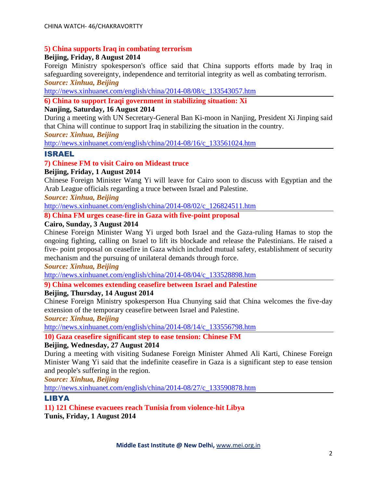#### **5) China supports Iraq in combating terrorism**

#### **Beijing, Friday, 8 August 2014**

Foreign Ministry spokesperson's office said that China supports efforts made by Iraq in safeguarding sovereignty, independence and territorial integrity as well as combating terrorism. *Source: Xinhua, Beijing*

[http://news.xinhuanet.com/english/china/2014-08/08/c\\_133543057.htm](http://news.xinhuanet.com/english/china/2014-08/08/c_133543057.htm)

#### **6) China to support Iraqi government in stabilizing situation: Xi**

#### **Nanjing, Saturday, 16 August 2014**

During a meeting with UN Secretary-General Ban Ki-moon in Nanjing, President Xi Jinping said that China will continue to support Iraq in stabilizing the situation in the country.

*Source: Xinhua, Beijing*

[http://news.xinhuanet.com/english/china/2014-08/16/c\\_133561024.htm](http://news.xinhuanet.com/english/china/2014-08/16/c_133561024.htm)

#### ISRAEL

#### **7) Chinese FM to visit Cairo on Mideast truce**

#### **Beijing, Friday, 1 August 2014**

Chinese Foreign Minister Wang Yi will leave for Cairo soon to discuss with Egyptian and the Arab League officials regarding a truce between Israel and Palestine.

#### *Source: Xinhua, Beijing*

[http://news.xinhuanet.com/english/china/2014-08/02/c\\_126824511.htm](http://news.xinhuanet.com/english/china/2014-08/02/c_126824511.htm)

#### **8) China FM urges cease-fire in Gaza with five-point proposal**

#### **Cairo, Sunday, 3 August 2014**

Chinese Foreign Minister Wang Yi urged both Israel and the Gaza-ruling Hamas to stop the ongoing fighting, calling on Israel to lift its blockade and release the Palestinians. He raised a five- point proposal on ceasefire in Gaza which included mutual safety, establishment of security mechanism and the pursuing of unilateral demands through force.

*Source: Xinhua, Beijing*

[http://news.xinhuanet.com/english/china/2014-08/04/c\\_133528898.htm](http://news.xinhuanet.com/english/china/2014-08/04/c_133528898.htm)

#### **9) China welcomes extending ceasefire between Israel and Palestine**

#### **Beijing, Thursday, 14 August 2014**

Chinese Foreign Ministry spokesperson Hua Chunying said that China welcomes the five-day extension of the temporary ceasefire between Israel and Palestine.

#### *Source: Xinhua, Beijing*

[http://news.xinhuanet.com/english/china/2014-08/14/c\\_133556798.htm](http://news.xinhuanet.com/english/china/2014-08/14/c_133556798.htm)

**10) Gaza ceasefire significant step to ease tension: Chinese FM**

#### **Beijing, Wednesday, 27 August 2014**

During a meeting with visiting Sudanese Foreign Minister Ahmed Ali Karti, Chinese Foreign Minister Wang Yi said that the indefinite ceasefire in Gaza is a significant step to ease tension and people's suffering in the region.

*Source: Xinhua, Beijing*

[http://news.xinhuanet.com/english/china/2014-08/27/c\\_133590878.htm](http://news.xinhuanet.com/english/china/2014-08/27/c_133590878.htm)

#### LIBYA

**11) 121 Chinese evacuees reach Tunisia from violence-hit Libya Tunis, Friday, 1 August 2014**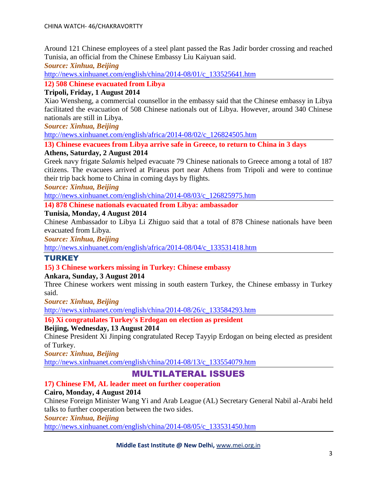Around 121 Chinese employees of a steel plant passed the Ras Jadir border crossing and reached Tunisia, an official from the Chinese Embassy Liu Kaiyuan said.

*Source: Xinhua, Beijing*

[http://news.xinhuanet.com/english/china/2014-08/01/c\\_133525641.htm](http://news.xinhuanet.com/english/china/2014-08/01/c_133525641.htm)

**12) 508 Chinese evacuated from Libya**

#### **Tripoli, Friday, 1 August 2014**

Xiao Wensheng, a commercial counsellor in the embassy said that the Chinese embassy in Libya facilitated the evacuation of 508 Chinese nationals out of Libya. However, around 340 Chinese nationals are still in Libya.

*Source: Xinhua, Beijing*

[http://news.xinhuanet.com/english/africa/2014-08/02/c\\_126824505.htm](http://news.xinhuanet.com/english/africa/2014-08/02/c_126824505.htm)

**13) Chinese evacuees from Libya arrive safe in Greece, to return to China in 3 days**

#### **Athens, Saturday, 2 August 2014**

Greek navy frigate *Salamis* helped evacuate 79 Chinese nationals to Greece among a total of 187 citizens. The evacuees arrived at Piraeus port near Athens from Tripoli and were to continue their trip back home to China in coming days by flights.

*Source: Xinhua, Beijing*

[http://news.xinhuanet.com/english/china/2014-08/03/c\\_126825975.htm](http://news.xinhuanet.com/english/china/2014-08/03/c_126825975.htm)

**14) 878 Chinese nationals evacuated from Libya: ambassador**

#### **Tunisia, Monday, 4 August 2014**

Chinese Ambassador to Libya Li Zhiguo said that a total of 878 Chinese nationals have been evacuated from Libya.

*Source: Xinhua, Beijing*

[http://news.xinhuanet.com/english/africa/2014-08/04/c\\_133531418.htm](http://news.xinhuanet.com/english/africa/2014-08/04/c_133531418.htm)

#### **TURKEY**

#### **15) 3 Chinese workers missing in Turkey: Chinese embassy**

#### **Ankara, Sunday, 3 August 2014**

Three Chinese workers went missing in south eastern Turkey, the Chinese embassy in Turkey said.

*Source: Xinhua, Beijing*

[http://news.xinhuanet.com/english/china/2014-08/26/c\\_133584293.htm](http://news.xinhuanet.com/english/china/2014-08/26/c_133584293.htm)

**16) Xi congratulates Turkey's Erdogan on election as president**

#### **Beijing, Wednesday, 13 August 2014**

Chinese President Xi Jinping congratulated Recep Tayyip Erdogan on being elected as president of Turkey.

*Source: Xinhua, Beijing*

[http://news.xinhuanet.com/english/china/2014-08/13/c\\_133554079.htm](http://news.xinhuanet.com/english/china/2014-08/13/c_133554079.htm)

#### MULTILATERAL ISSUES

#### **17) Chinese FM, AL leader meet on further cooperation**

#### **Cairo, Monday, 4 August 2014**

Chinese Foreign Minister Wang Yi and Arab League (AL) Secretary General Nabil al-Arabi held talks to further cooperation between the two sides.

#### *Source: Xinhua, Beijing*

[http://news.xinhuanet.com/english/china/2014-08/05/c\\_133531450.htm](http://news.xinhuanet.com/english/china/2014-08/05/c_133531450.htm)